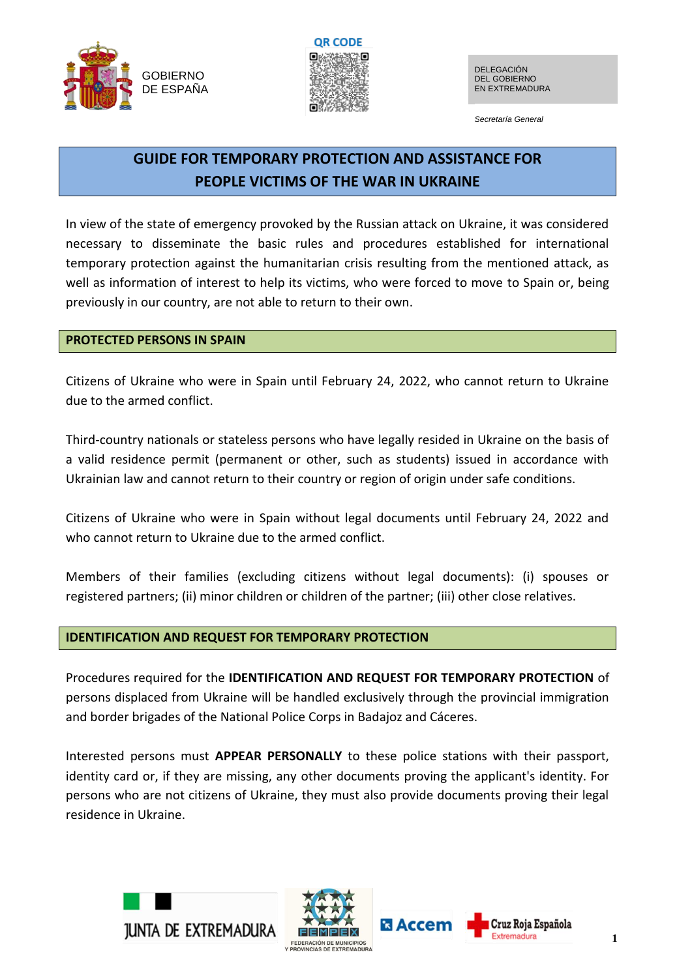



*Secretaría General*

# **GUIDE FOR TEMPORARY PROTECTION AND ASSISTANCE FOR PEOPLE VICTIMS OF THE WAR IN UKRAINE**

In view of the state of emergency provoked by the Russian attack on Ukraine, it was considered necessary to disseminate the basic rules and procedures established for international temporary protection against the humanitarian crisis resulting from the mentioned attack, as well as information of interest to help its victims, who were forced to move to Spain or, being previously in our country, are not able to return to their own.

# **PROTECTED PERSONS IN SPAIN**

Citizens of Ukraine who were in Spain until February 24, 2022, who cannot return to Ukraine due to the armed conflict.

Third-country nationals or stateless persons who have legally resided in Ukraine on the basis of a valid residence permit (permanent or other, such as students) issued in accordance with Ukrainian law and cannot return to their country or region of origin under safe conditions.

Citizens of Ukraine who were in Spain without legal documents until February 24, 2022 and who cannot return to Ukraine due to the armed conflict.

Members of their families (excluding citizens without legal documents): (i) spouses or registered partners; (ii) minor children or children of the partner; (iii) other close relatives.

# **IDENTIFICATION AND REQUEST FOR TEMPORARY PROTECTION**

Procedures required for the **IDENTIFICATION AND REQUEST FOR TEMPORARY PROTECTION** of persons displaced from Ukraine will be handled exclusively through the provincial immigration and border brigades of the National Police Corps in Badajoz and Cáceres.

Interested persons must **APPEAR PERSONALLY** to these police stations with their passport, identity card or, if they are missing, any other documents proving the applicant's identity. For persons who are not citizens of Ukraine, they must also provide documents proving their legal residence in Ukraine.





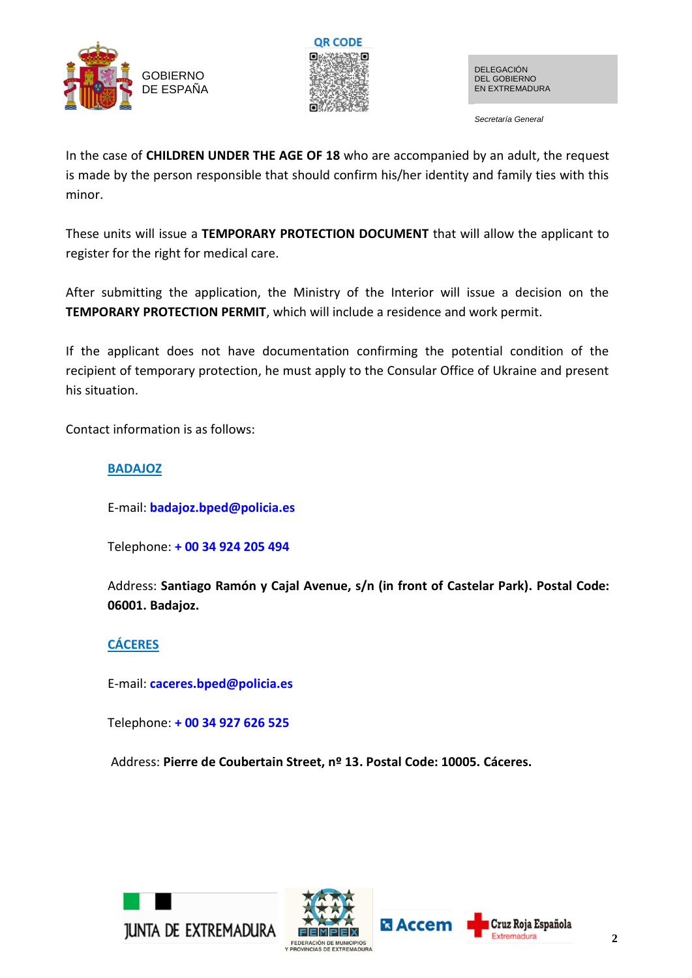



*Secretaría General*

In the case of **CHILDREN UNDER THE AGE OF 18** who are accompanied by an adult, the request is made by the person responsible that should confirm his/her identity and family ties with this minor.

These units will issue a **TEMPORARY PROTECTION DOCUMENT** that will allow the applicant to register for the right for medical care.

After submitting the application, the Ministry of the Interior will issue a decision on the **TEMPORARY PROTECTION PERMIT**, which will include a residence and work permit.

If the applicant does not have documentation confirming the potential condition of the recipient of temporary protection, he must apply to the Consular Office of Ukraine and present his situation.

Contact information is as follows:

# **BADAJOZ**

E-mail: **[badajoz.bped@policia.es](mailto:badajoz.bped@policia.es)**

Telephone: **[+ 00 34 924 205 494](https://ctrlq.org/call/+0034924205494)**

Address: **Santiago Ramón y Cajal Avenue, s/n (in front of Castelar Park). Postal Code: 06001. Badajoz.**

# **CÁCERES**

E-mail: **[caceres.bped@policia.es](mailto:caceres.bped@policia.es)**

Telephone: **[+ 00 34 927 626 525](https://ctrlq.org/call/+0034927626525)**

Address: **Pierre de Coubertain Street, nº 13. Postal Code: 10005. Cáceres.**





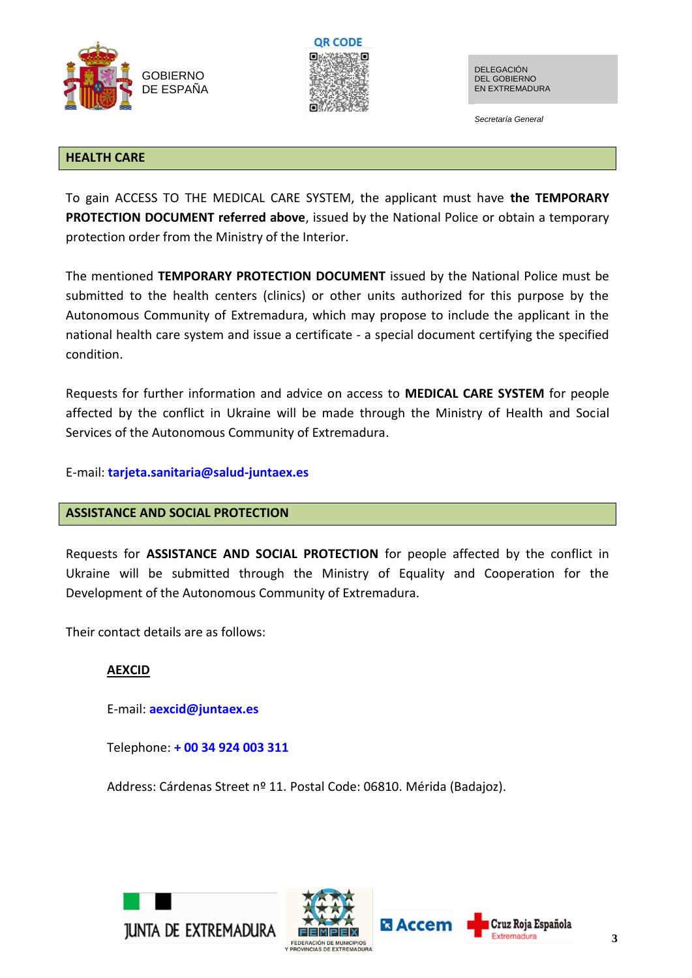



*Secretaría General*

#### **HEALTH CARE**

To gain ACCESS TO THE MEDICAL CARE SYSTEM, the applicant must have **the TEMPORARY PROTECTION DOCUMENT referred above**, issued by the National Police or obtain a temporary protection order from the Ministry of the Interior.

The mentioned **TEMPORARY PROTECTION DOCUMENT** issued by the National Police must be submitted to the health centers (clinics) or other units authorized for this purpose by the Autonomous Community of Extremadura, which may propose to include the applicant in the national health care system and issue a certificate - a special document certifying the specified condition.

Requests for further information and advice on access to **MEDICAL CARE SYSTEM** for people affected by the conflict in Ukraine will be made through the Ministry of Health and Social Services of the Autonomous Community of Extremadura.

E-mail: **[tarjeta.sanitaria@salud-juntaex.es](mailto:tarjeta.sanitaria@salud-juntaex.es)**

# **ASSISTANCE AND SOCIAL PROTECTION**

Requests for **ASSISTANCE AND SOCIAL PROTECTION** for people affected by the conflict in Ukraine will be submitted through the Ministry of Equality and Cooperation for the Development of the Autonomous Community of Extremadura.

Their contact details are as follows:

# **AEXCID**

E-mail: **[aexcid@juntaex.es](mailto:aexcid@juntaex.es)**

Telephone: **[+ 00 34 924 003 311](https://ctrlq.org/call/+0034924003311)**

Address: Cárdenas Street nº 11. Postal Code: 06810. Mérida (Badajoz).





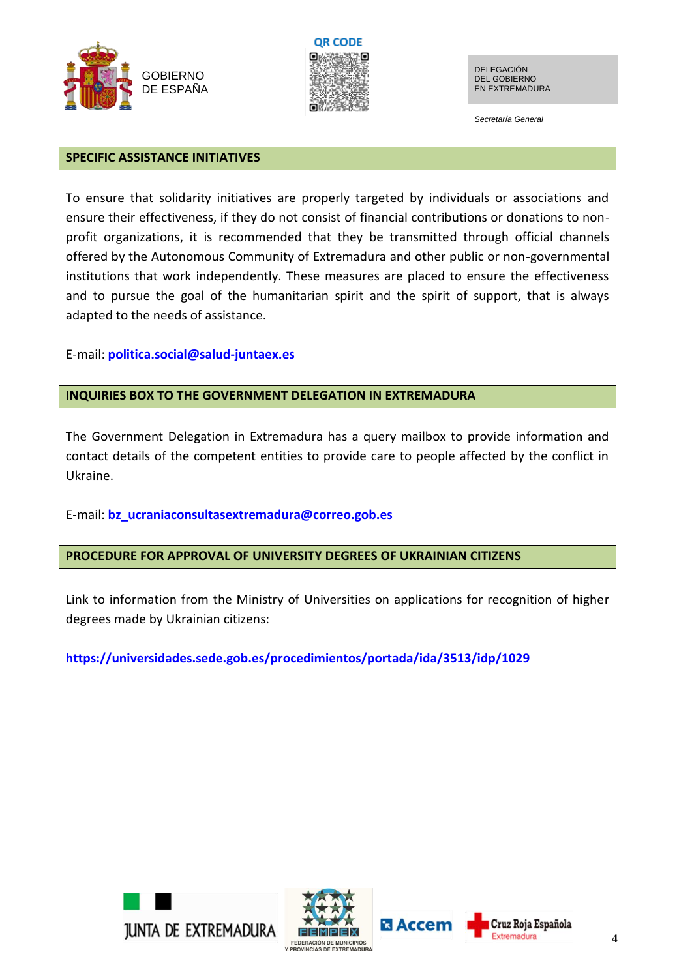



*Secretaría General*

#### **SPECIFIC ASSISTANCE INITIATIVES**

To ensure that solidarity initiatives are properly targeted by individuals or associations and ensure their effectiveness, if they do not consist of financial contributions or donations to nonprofit organizations, it is recommended that they be transmitted through official channels offered by the Autonomous Community of Extremadura and other public or non-governmental institutions that work independently. These measures are placed to ensure the effectiveness and to pursue the goal of the humanitarian spirit and the spirit of support, that is always adapted to the needs of assistance.

#### E-mail: **[politica.social@salud-juntaex.es](mailto:politica.social@salud-juntaex.es)**

#### **INQUIRIES BOX TO THE GOVERNMENT DELEGATION IN EXTREMADURA**

The Government Delegation in Extremadura has a query mailbox to provide information and contact details of the competent entities to provide care to people affected by the conflict in Ukraine.

# E-mail: **[bz\\_ucraniaconsultasextremadura@correo.gob.es](mailto:bz_ucraniaconsultasextremadura@correo.gob.es)**

# **PROCEDURE FOR APPROVAL OF UNIVERSITY DEGREES OF UKRAINIAN CITIZENS**

Link to information from the Ministry of Universities on applications for recognition of higher degrees made by Ukrainian citizens:

**https://universidades.sede.gob.es/procedimientos/portada/ida/3513/idp/1029**